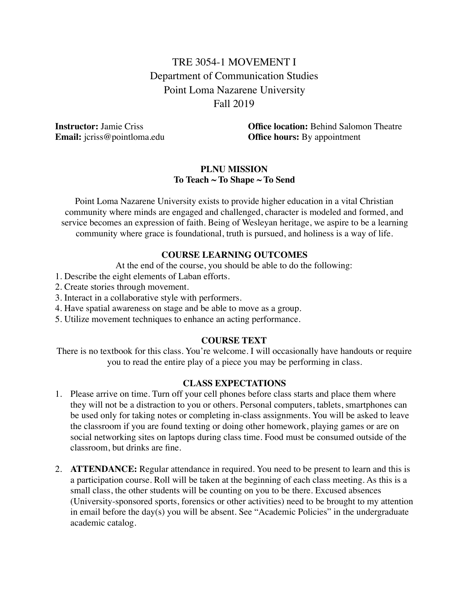# TRE 3054-1 MOVEMENT I Department of Communication Studies Point Loma Nazarene University Fall 2019

**Instructor:** Jamie Criss **Office location:** Behind Salomon Theatre **Email:** jcriss@pointloma.edu **Office hours:** By appointment

#### **PLNU MISSION To Teach ~ To Shape ~ To Send**

Point Loma Nazarene University exists to provide higher education in a vital Christian community where minds are engaged and challenged, character is modeled and formed, and service becomes an expression of faith. Being of Wesleyan heritage, we aspire to be a learning community where grace is foundational, truth is pursued, and holiness is a way of life.

#### **COURSE LEARNING OUTCOMES**

At the end of the course, you should be able to do the following:

- 1. Describe the eight elements of Laban efforts.
- 2. Create stories through movement.
- 3. Interact in a collaborative style with performers.
- 4. Have spatial awareness on stage and be able to move as a group.
- 5. Utilize movement techniques to enhance an acting performance.

#### **COURSE TEXT**

There is no textbook for this class. You're welcome. I will occasionally have handouts or require you to read the entire play of a piece you may be performing in class.

#### **CLASS EXPECTATIONS**

- 1. Please arrive on time. Turn off your cell phones before class starts and place them where they will not be a distraction to you or others. Personal computers, tablets, smartphones can be used only for taking notes or completing in-class assignments. You will be asked to leave the classroom if you are found texting or doing other homework, playing games or are on social networking sites on laptops during class time. Food must be consumed outside of the classroom, but drinks are fine.
- 2. **ATTENDANCE:** Regular attendance in required. You need to be present to learn and this is a participation course. Roll will be taken at the beginning of each class meeting. As this is a small class, the other students will be counting on you to be there. Excused absences (University-sponsored sports, forensics or other activities) need to be brought to my attention in email before the day(s) you will be absent. See "Academic Policies" in the undergraduate academic catalog.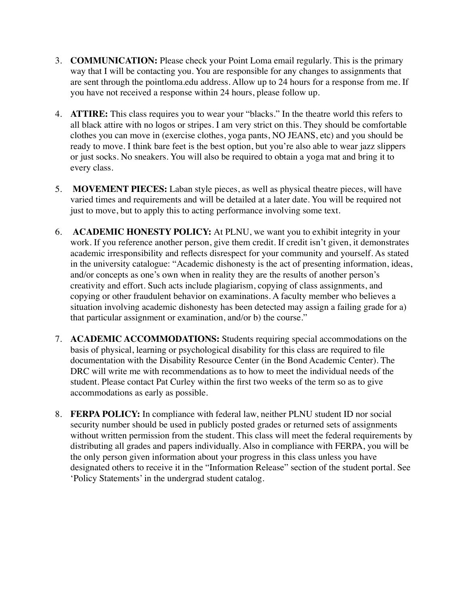- 3. **COMMUNICATION:** Please check your Point Loma email regularly. This is the primary way that I will be contacting you. You are responsible for any changes to assignments that are sent through the pointloma.edu address. Allow up to 24 hours for a response from me. If you have not received a response within 24 hours, please follow up.
- 4. **ATTIRE:** This class requires you to wear your "blacks." In the theatre world this refers to all black attire with no logos or stripes. I am very strict on this. They should be comfortable clothes you can move in (exercise clothes, yoga pants, NO JEANS, etc) and you should be ready to move. I think bare feet is the best option, but you're also able to wear jazz slippers or just socks. No sneakers. You will also be required to obtain a yoga mat and bring it to every class.
- 5. **MOVEMENT PIECES:** Laban style pieces, as well as physical theatre pieces, will have varied times and requirements and will be detailed at a later date. You will be required not just to move, but to apply this to acting performance involving some text.
- 6. **ACADEMIC HONESTY POLICY:** At PLNU, we want you to exhibit integrity in your work. If you reference another person, give them credit. If credit isn't given, it demonstrates academic irresponsibility and reflects disrespect for your community and yourself. As stated in the university catalogue: "Academic dishonesty is the act of presenting information, ideas, and/or concepts as one's own when in reality they are the results of another person's creativity and effort. Such acts include plagiarism, copying of class assignments, and copying or other fraudulent behavior on examinations. A faculty member who believes a situation involving academic dishonesty has been detected may assign a failing grade for a) that particular assignment or examination, and/or b) the course."
- 7. **ACADEMIC ACCOMMODATIONS:** Students requiring special accommodations on the basis of physical, learning or psychological disability for this class are required to file documentation with the Disability Resource Center (in the Bond Academic Center). The DRC will write me with recommendations as to how to meet the individual needs of the student. Please contact Pat Curley within the first two weeks of the term so as to give accommodations as early as possible.
- 8. **FERPA POLICY:** In compliance with federal law, neither PLNU student ID nor social security number should be used in publicly posted grades or returned sets of assignments without written permission from the student. This class will meet the federal requirements by distributing all grades and papers individually. Also in compliance with FERPA, you will be the only person given information about your progress in this class unless you have designated others to receive it in the "Information Release" section of the student portal. See 'Policy Statements' in the undergrad student catalog.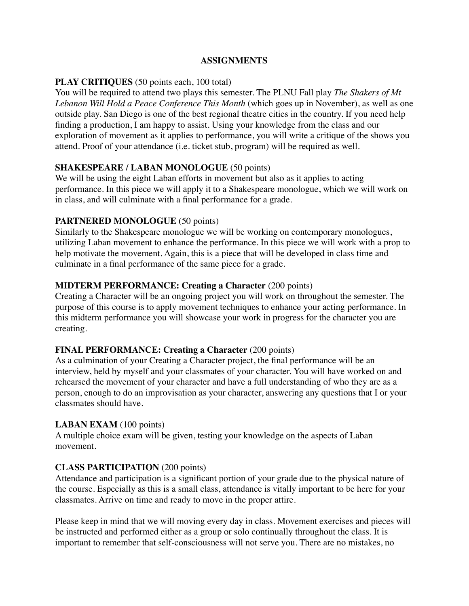#### **ASSIGNMENTS**

# **PLAY CRITIQUES** (50 points each, 100 total)

You will be required to attend two plays this semester. The PLNU Fall play *The Shakers of Mt Lebanon Will Hold a Peace Conference This Month* (which goes up in November), as well as one outside play. San Diego is one of the best regional theatre cities in the country. If you need help finding a production, I am happy to assist. Using your knowledge from the class and our exploration of movement as it applies to performance, you will write a critique of the shows you attend. Proof of your attendance (i.e. ticket stub, program) will be required as well.

# **SHAKESPEARE / LABAN MONOLOGUE** (50 points)

We will be using the eight Laban efforts in movement but also as it applies to acting performance. In this piece we will apply it to a Shakespeare monologue, which we will work on in class, and will culminate with a final performance for a grade.

# **PARTNERED MONOLOGUE** (50 points)

Similarly to the Shakespeare monologue we will be working on contemporary monologues, utilizing Laban movement to enhance the performance. In this piece we will work with a prop to help motivate the movement. Again, this is a piece that will be developed in class time and culminate in a final performance of the same piece for a grade.

# **MIDTERM PERFORMANCE: Creating a Character** (200 points)

Creating a Character will be an ongoing project you will work on throughout the semester. The purpose of this course is to apply movement techniques to enhance your acting performance. In this midterm performance you will showcase your work in progress for the character you are creating.

### **FINAL PERFORMANCE: Creating a Character** (200 points)

As a culmination of your Creating a Character project, the final performance will be an interview, held by myself and your classmates of your character. You will have worked on and rehearsed the movement of your character and have a full understanding of who they are as a person, enough to do an improvisation as your character, answering any questions that I or your classmates should have.

### **LABAN EXAM** (100 points)

A multiple choice exam will be given, testing your knowledge on the aspects of Laban movement.

# **CLASS PARTICIPATION** (200 points)

Attendance and participation is a significant portion of your grade due to the physical nature of the course. Especially as this is a small class, attendance is vitally important to be here for your classmates. Arrive on time and ready to move in the proper attire.

Please keep in mind that we will moving every day in class. Movement exercises and pieces will be instructed and performed either as a group or solo continually throughout the class. It is important to remember that self-consciousness will not serve you. There are no mistakes, no